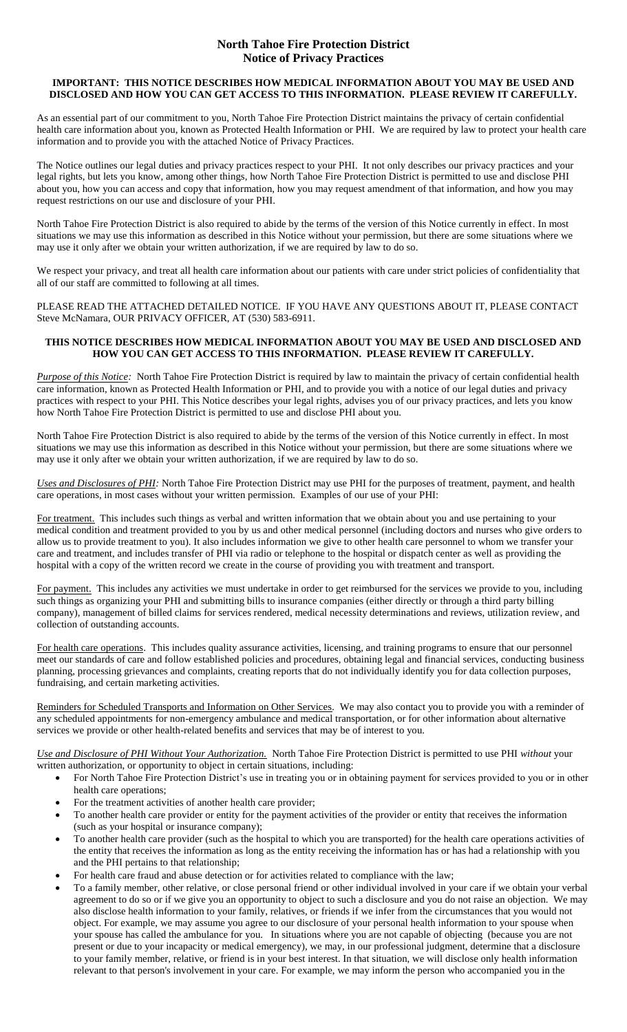## **North Tahoe Fire Protection District Notice of Privacy Practices**

## **IMPORTANT: THIS NOTICE DESCRIBES HOW MEDICAL INFORMATION ABOUT YOU MAY BE USED AND DISCLOSED AND HOW YOU CAN GET ACCESS TO THIS INFORMATION. PLEASE REVIEW IT CAREFULLY.**

As an essential part of our commitment to you, North Tahoe Fire Protection District maintains the privacy of certain confidential health care information about you, known as Protected Health Information or PHI. We are required by law to protect your health care information and to provide you with the attached Notice of Privacy Practices.

The Notice outlines our legal duties and privacy practices respect to your PHI. It not only describes our privacy practices and your legal rights, but lets you know, among other things, how North Tahoe Fire Protection District is permitted to use and disclose PHI about you, how you can access and copy that information, how you may request amendment of that information, and how you may request restrictions on our use and disclosure of your PHI.

North Tahoe Fire Protection District is also required to abide by the terms of the version of this Notice currently in effect. In most situations we may use this information as described in this Notice without your permission, but there are some situations where we may use it only after we obtain your written authorization, if we are required by law to do so.

We respect your privacy, and treat all health care information about our patients with care under strict policies of confidentiality that all of our staff are committed to following at all times.

PLEASE READ THE ATTACHED DETAILED NOTICE. IF YOU HAVE ANY QUESTIONS ABOUT IT, PLEASE CONTACT Steve McNamara, OUR PRIVACY OFFICER, AT (530) 583-6911.

## **THIS NOTICE DESCRIBES HOW MEDICAL INFORMATION ABOUT YOU MAY BE USED AND DISCLOSED AND HOW YOU CAN GET ACCESS TO THIS INFORMATION. PLEASE REVIEW IT CAREFULLY.**

*Purpose of this Notice:* North Tahoe Fire Protection District is required by law to maintain the privacy of certain confidential health care information, known as Protected Health Information or PHI, and to provide you with a notice of our legal duties and privacy practices with respect to your PHI. This Notice describes your legal rights, advises you of our privacy practices, and lets you know how North Tahoe Fire Protection District is permitted to use and disclose PHI about you.

North Tahoe Fire Protection District is also required to abide by the terms of the version of this Notice currently in effect. In most situations we may use this information as described in this Notice without your permission, but there are some situations where we may use it only after we obtain your written authorization, if we are required by law to do so.

*Uses and Disclosures of PHI:* North Tahoe Fire Protection District may use PHI for the purposes of treatment, payment, and health care operations, in most cases without your written permission. Examples of our use of your PHI:

For treatment. This includes such things as verbal and written information that we obtain about you and use pertaining to your medical condition and treatment provided to you by us and other medical personnel (including doctors and nurses who give orders to allow us to provide treatment to you). It also includes information we give to other health care personnel to whom we transfer your care and treatment, and includes transfer of PHI via radio or telephone to the hospital or dispatch center as well as providing the hospital with a copy of the written record we create in the course of providing you with treatment and transport.

For payment. This includes any activities we must undertake in order to get reimbursed for the services we provide to you, including such things as organizing your PHI and submitting bills to insurance companies (either directly or through a third party billing company), management of billed claims for services rendered, medical necessity determinations and reviews, utilization review, and collection of outstanding accounts.

For health care operations. This includes quality assurance activities, licensing, and training programs to ensure that our personnel meet our standards of care and follow established policies and procedures, obtaining legal and financial services, conducting business planning, processing grievances and complaints, creating reports that do not individually identify you for data collection purposes, fundraising, and certain marketing activities.

Reminders for Scheduled Transports and Information on Other Services*.* We may also contact you to provide you with a reminder of any scheduled appointments for non-emergency ambulance and medical transportation, or for other information about alternative services we provide or other health-related benefits and services that may be of interest to you.

*Use and Disclosure of PHI Without Your Authorization.* North Tahoe Fire Protection District is permitted to use PHI *without* your written authorization, or opportunity to object in certain situations, including:

- For North Tahoe Fire Protection District's use in treating you or in obtaining payment for services provided to you or in other health care operations;
- For the treatment activities of another health care provider;
- To another health care provider or entity for the payment activities of the provider or entity that receives the information (such as your hospital or insurance company);
- To another health care provider (such as the hospital to which you are transported) for the health care operations activities of the entity that receives the information as long as the entity receiving the information has or has had a relationship with you and the PHI pertains to that relationship;
- For health care fraud and abuse detection or for activities related to compliance with the law;
- To a family member, other relative, or close personal friend or other individual involved in your care if we obtain your verbal agreement to do so or if we give you an opportunity to object to such a disclosure and you do not raise an objection. We may also disclose health information to your family, relatives, or friends if we infer from the circumstances that you would not object. For example, we may assume you agree to our disclosure of your personal health information to your spouse when your spouse has called the ambulance for you. In situations where you are not capable of objecting (because you are not present or due to your incapacity or medical emergency), we may, in our professional judgment, determine that a disclosure to your family member, relative, or friend is in your best interest. In that situation, we will disclose only health information relevant to that person's involvement in your care. For example, we may inform the person who accompanied you in the